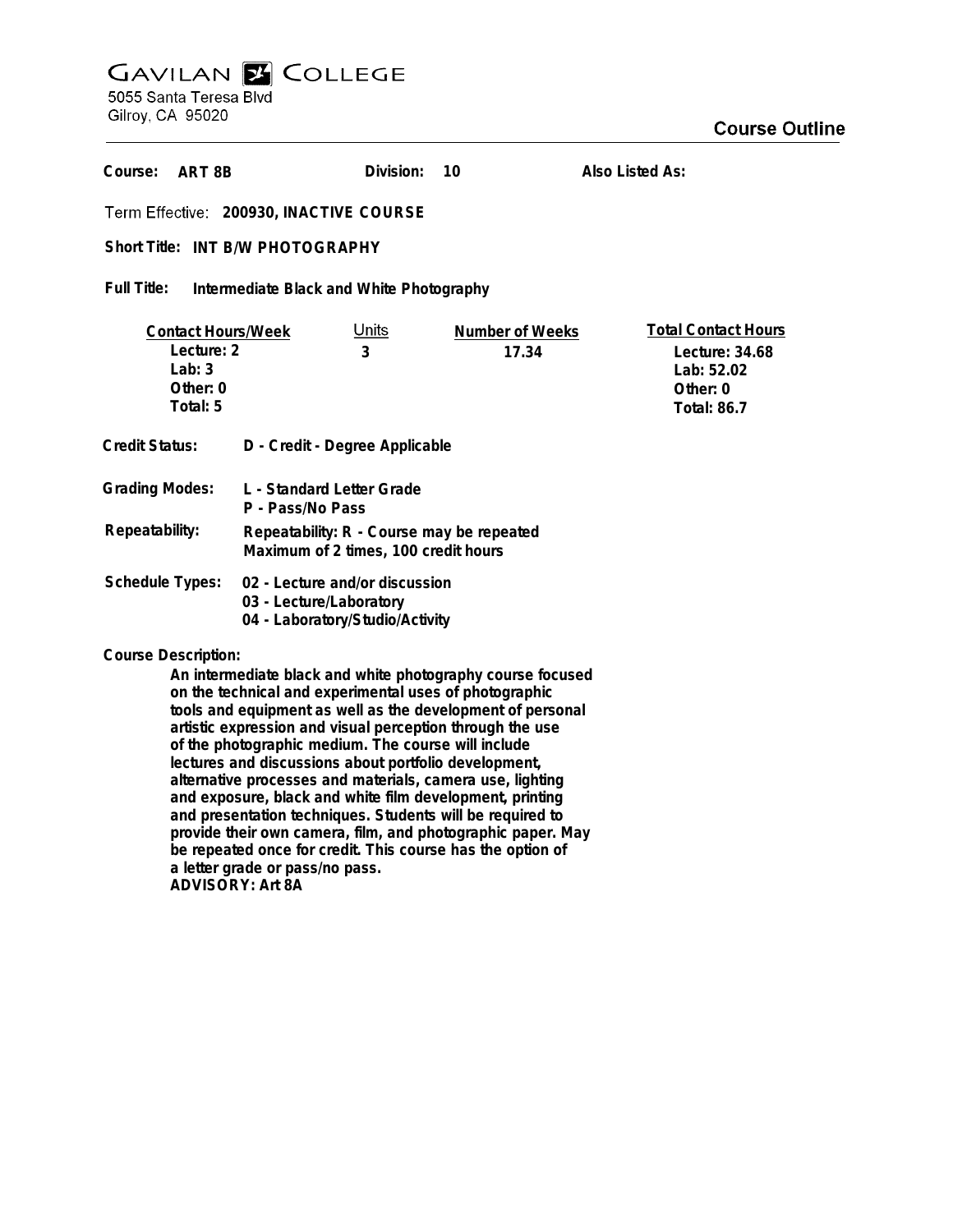## **GAVILAN E COLLEGE**<br>5055 Santa Teresa Blvd

Gilroy, CA 95020

| ART 8B<br>Course:                                                                                                                                                                                                                                                                                                                                                                                                                                          |                                                                                              | Division:         | 10                       | Also Listed As:                                                                              |
|------------------------------------------------------------------------------------------------------------------------------------------------------------------------------------------------------------------------------------------------------------------------------------------------------------------------------------------------------------------------------------------------------------------------------------------------------------|----------------------------------------------------------------------------------------------|-------------------|--------------------------|----------------------------------------------------------------------------------------------|
| Term Effective: 200930, INACTIVE COURSE                                                                                                                                                                                                                                                                                                                                                                                                                    |                                                                                              |                   |                          |                                                                                              |
| Short Title: INT B/W PHOTOGRAPHY                                                                                                                                                                                                                                                                                                                                                                                                                           |                                                                                              |                   |                          |                                                                                              |
| Full Title:<br>Intermediate Black and White Photography                                                                                                                                                                                                                                                                                                                                                                                                    |                                                                                              |                   |                          |                                                                                              |
| <b>Contact Hours/Week</b><br>Lecture: 2<br>Lab: $3$<br>Other: 0<br>Total: 5                                                                                                                                                                                                                                                                                                                                                                                |                                                                                              | <u>Units</u><br>3 | Number of Weeks<br>17.34 | <b>Total Contact Hours</b><br>Lecture: 34.68<br>Lab: 52.02<br>Other: 0<br><b>Total: 86.7</b> |
| <b>Credit Status:</b>                                                                                                                                                                                                                                                                                                                                                                                                                                      | D - Credit - Degree Applicable                                                               |                   |                          |                                                                                              |
| <b>Grading Modes:</b>                                                                                                                                                                                                                                                                                                                                                                                                                                      | L - Standard Letter Grade<br>P - Pass/No Pass                                                |                   |                          |                                                                                              |
| Repeatability:                                                                                                                                                                                                                                                                                                                                                                                                                                             | Repeatability: R - Course may be repeated<br>Maximum of 2 times, 100 credit hours            |                   |                          |                                                                                              |
| <b>Schedule Types:</b>                                                                                                                                                                                                                                                                                                                                                                                                                                     | 02 - Lecture and/or discussion<br>03 - Lecture/Laboratory<br>04 - Laboratory/Studio/Activity |                   |                          |                                                                                              |
| <b>Course Description:</b><br>An intermediate black and white photography course focused<br>on the technical and experimental uses of photographic<br>tools and equipment as well as the development of personal<br>artistic expression and visual perception through the use<br>of the photographic medium. The course will include<br>lectures and discussions about portfolio development,<br>alternative processes and materials, camera use, lighting |                                                                                              |                   |                          |                                                                                              |

**and exposure, black and white film development, printing and presentation techniques. Students will be required to provide their own camera, film, and photographic paper. May be repeated once for credit. This course has the option of**

**a letter grade or pass/no pass.**

**ADVISORY: Art 8A**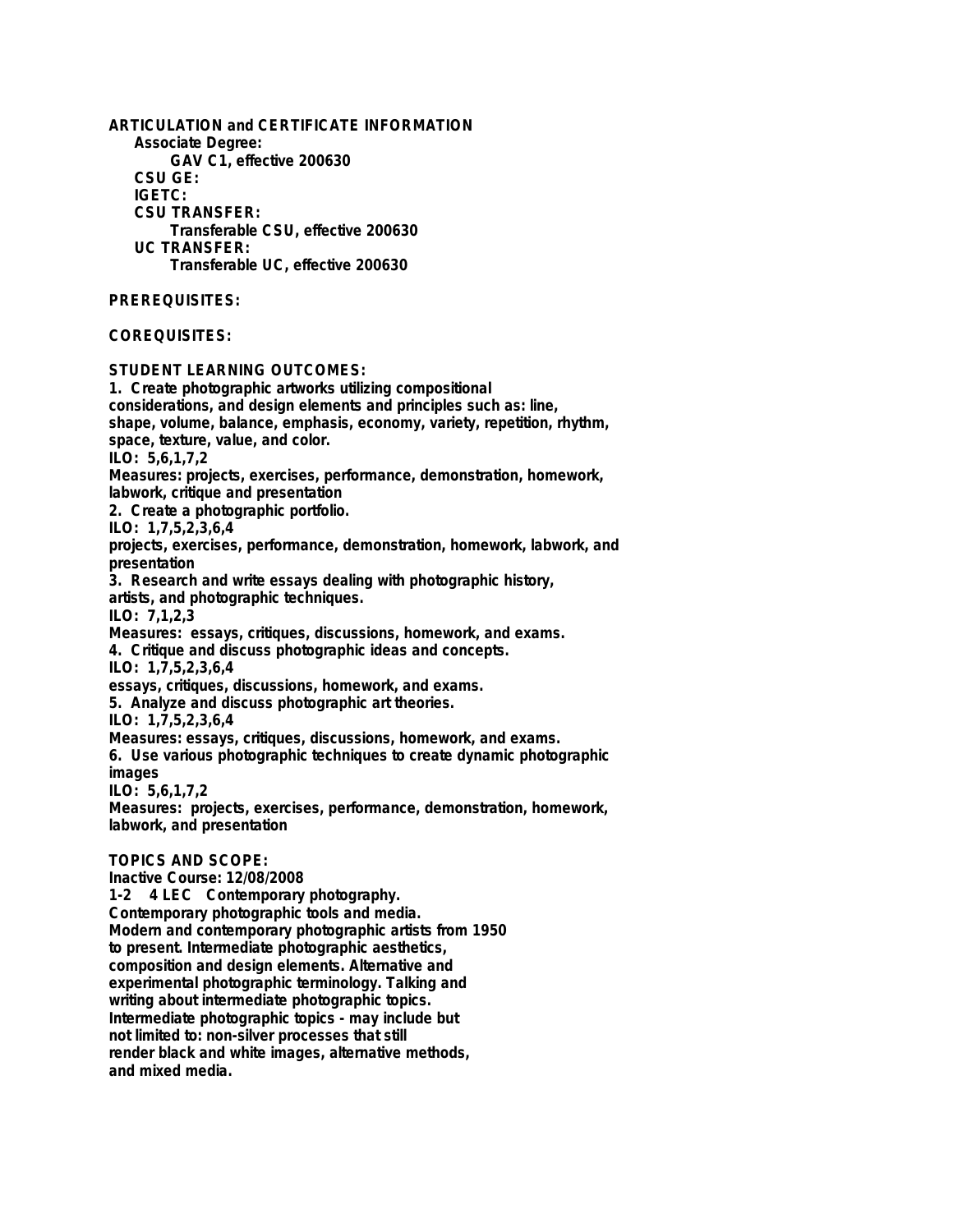**ARTICULATION and CERTIFICATE INFORMATION Associate Degree: GAV C1, effective 200630 CSU GE: IGETC: CSU TRANSFER: Transferable CSU, effective 200630 UC TRANSFER: Transferable UC, effective 200630 PREREQUISITES: COREQUISITES: STUDENT LEARNING OUTCOMES: 1. Create photographic artworks utilizing compositional considerations, and design elements and principles such as: line, shape, volume, balance, emphasis, economy, variety, repetition, rhythm, space, texture, value, and color. ILO: 5,6,1,7,2 Measures: projects, exercises, performance, demonstration, homework, labwork, critique and presentation 2. Create a photographic portfolio. ILO: 1,7,5,2,3,6,4 projects, exercises, performance, demonstration, homework, labwork, and presentation 3. Research and write essays dealing with photographic history, artists, and photographic techniques. ILO: 7,1,2,3 Measures: essays, critiques, discussions, homework, and exams. 4. Critique and discuss photographic ideas and concepts. ILO: 1,7,5,2,3,6,4 essays, critiques, discussions, homework, and exams. 5. Analyze and discuss photographic art theories. ILO: 1,7,5,2,3,6,4 Measures: essays, critiques, discussions, homework, and exams. 6. Use various photographic techniques to create dynamic photographic images ILO: 5,6,1,7,2 Measures: projects, exercises, performance, demonstration, homework, labwork, and presentation TOPICS AND SCOPE: Inactive Course: 12/08/2008 1-2 4 LEC Contemporary photography. Contemporary photographic tools and media. Modern and contemporary photographic artists from 1950 to present. Intermediate photographic aesthetics, composition and design elements. Alternative and experimental photographic terminology. Talking and writing about intermediate photographic topics. Intermediate photographic topics - may include but not limited to: non-silver processes that still render black and white images, alternative methods,**

**and mixed media.**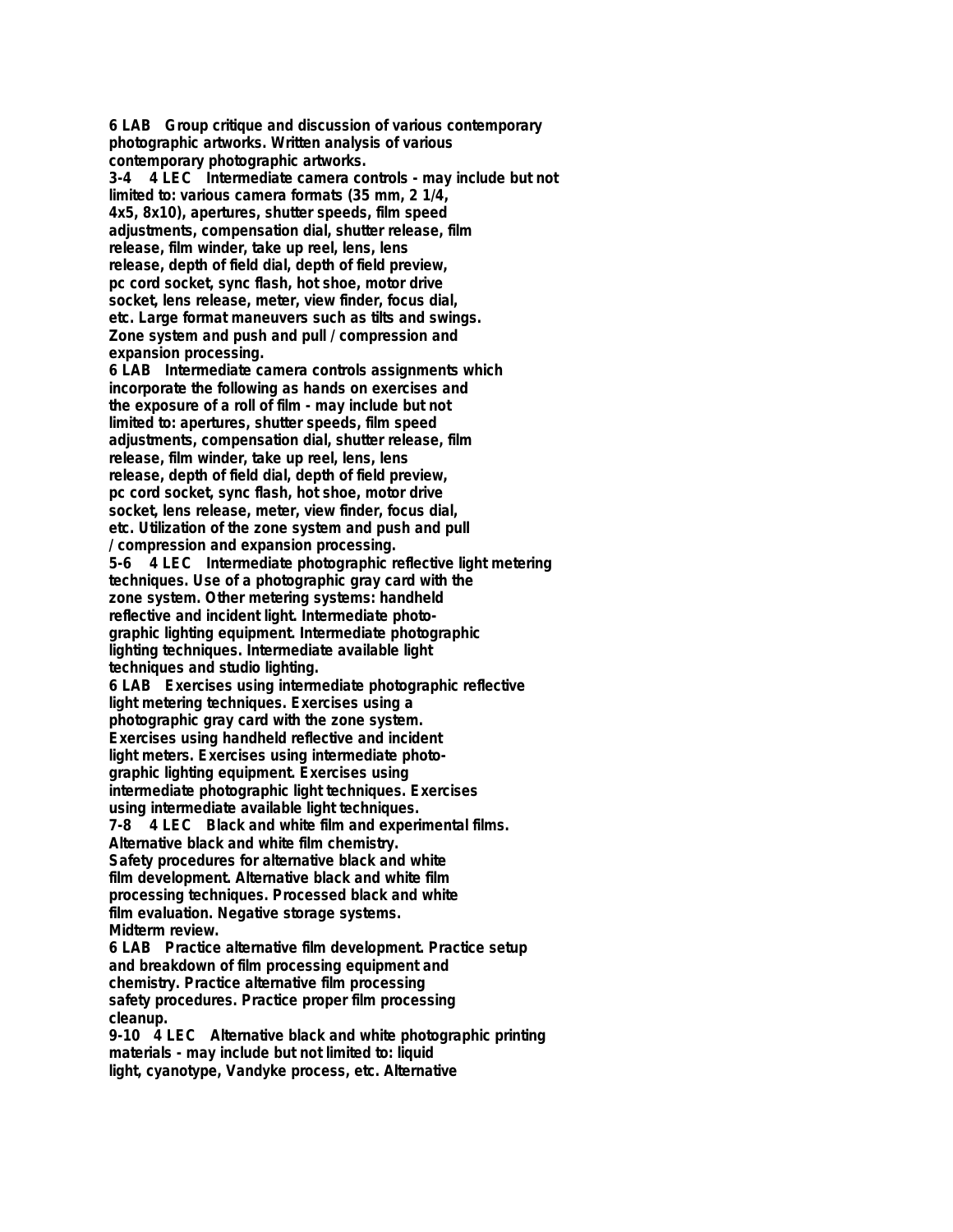**6 LAB Group critique and discussion of various contemporary photographic artworks. Written analysis of various contemporary photographic artworks. 3-4 4 LEC Intermediate camera controls - may include but not limited to: various camera formats (35 mm, 2 1/4, 4x5, 8x10), apertures, shutter speeds, film speed adjustments, compensation dial, shutter release, film release, film winder, take up reel, lens, lens release, depth of field dial, depth of field preview, pc cord socket, sync flash, hot shoe, motor drive socket, lens release, meter, view finder, focus dial, etc. Large format maneuvers such as tilts and swings. Zone system and push and pull / compression and expansion processing. 6 LAB Intermediate camera controls assignments which incorporate the following as hands on exercises and the exposure of a roll of film - may include but not limited to: apertures, shutter speeds, film speed adjustments, compensation dial, shutter release, film release, film winder, take up reel, lens, lens release, depth of field dial, depth of field preview, pc cord socket, sync flash, hot shoe, motor drive socket, lens release, meter, view finder, focus dial, etc. Utilization of the zone system and push and pull / compression and expansion processing. 5-6 4 LEC Intermediate photographic reflective light metering techniques. Use of a photographic gray card with the zone system. Other metering systems: handheld reflective and incident light. Intermediate photographic lighting equipment. Intermediate photographic lighting techniques. Intermediate available light techniques and studio lighting. 6 LAB Exercises using intermediate photographic reflective light metering techniques. Exercises using a photographic gray card with the zone system. Exercises using handheld reflective and incident light meters. Exercises using intermediate photographic lighting equipment. Exercises using intermediate photographic light techniques. Exercises using intermediate available light techniques. 7-8 4 LEC Black and white film and experimental films. Alternative black and white film chemistry. Safety procedures for alternative black and white film development. Alternative black and white film processing techniques. Processed black and white film evaluation. Negative storage systems. Midterm review. 6 LAB Practice alternative film development. Practice setup and breakdown of film processing equipment and chemistry. Practice alternative film processing safety procedures. Practice proper film processing cleanup.**

**9-10 4 LEC Alternative black and white photographic printing materials - may include but not limited to: liquid light, cyanotype, Vandyke process, etc. Alternative**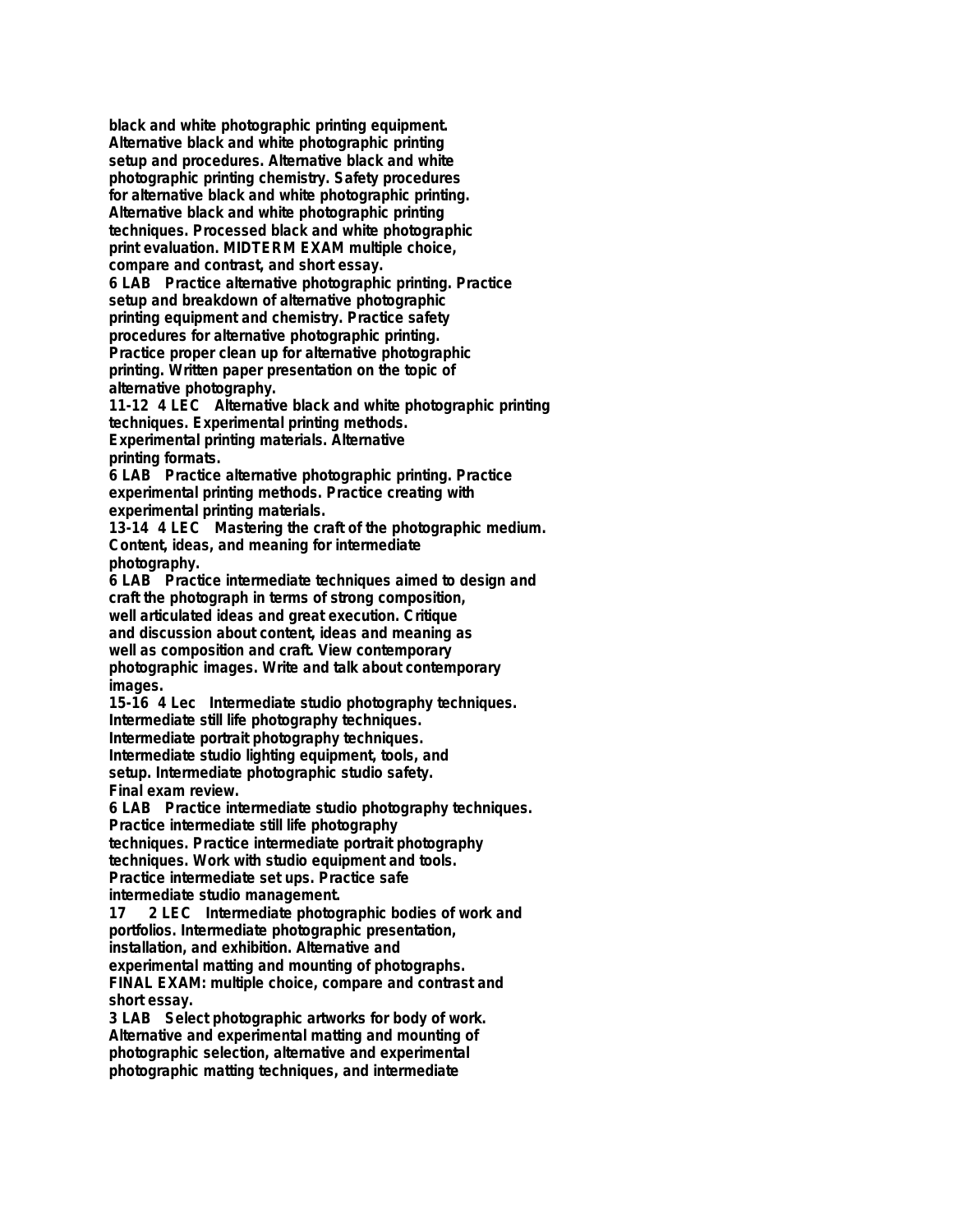**black and white photographic printing equipment. Alternative black and white photographic printing setup and procedures. Alternative black and white photographic printing chemistry. Safety procedures for alternative black and white photographic printing. Alternative black and white photographic printing techniques. Processed black and white photographic print evaluation. MIDTERM EXAM multiple choice, compare and contrast, and short essay. 6 LAB Practice alternative photographic printing. Practice setup and breakdown of alternative photographic printing equipment and chemistry. Practice safety procedures for alternative photographic printing. Practice proper clean up for alternative photographic printing. Written paper presentation on the topic of alternative photography.**

**11-12 4 LEC Alternative black and white photographic printing techniques. Experimental printing methods. Experimental printing materials. Alternative printing formats.**

**6 LAB Practice alternative photographic printing. Practice experimental printing methods. Practice creating with experimental printing materials.**

**13-14 4 LEC Mastering the craft of the photographic medium. Content, ideas, and meaning for intermediate photography.**

**6 LAB Practice intermediate techniques aimed to design and craft the photograph in terms of strong composition, well articulated ideas and great execution. Critique and discussion about content, ideas and meaning as well as composition and craft. View contemporary photographic images. Write and talk about contemporary images.**

**15-16 4 Lec Intermediate studio photography techniques. Intermediate still life photography techniques. Intermediate portrait photography techniques. Intermediate studio lighting equipment, tools, and setup. Intermediate photographic studio safety. Final exam review.**

**6 LAB Practice intermediate studio photography techniques. Practice intermediate still life photography techniques. Practice intermediate portrait photography techniques. Work with studio equipment and tools.**

**Practice intermediate set ups. Practice safe intermediate studio management.**

**17 2 LEC Intermediate photographic bodies of work and portfolios. Intermediate photographic presentation, installation, and exhibition. Alternative and experimental matting and mounting of photographs. FINAL EXAM: multiple choice, compare and contrast and short essay.**

**3 LAB Select photographic artworks for body of work. Alternative and experimental matting and mounting of photographic selection, alternative and experimental photographic matting techniques, and intermediate**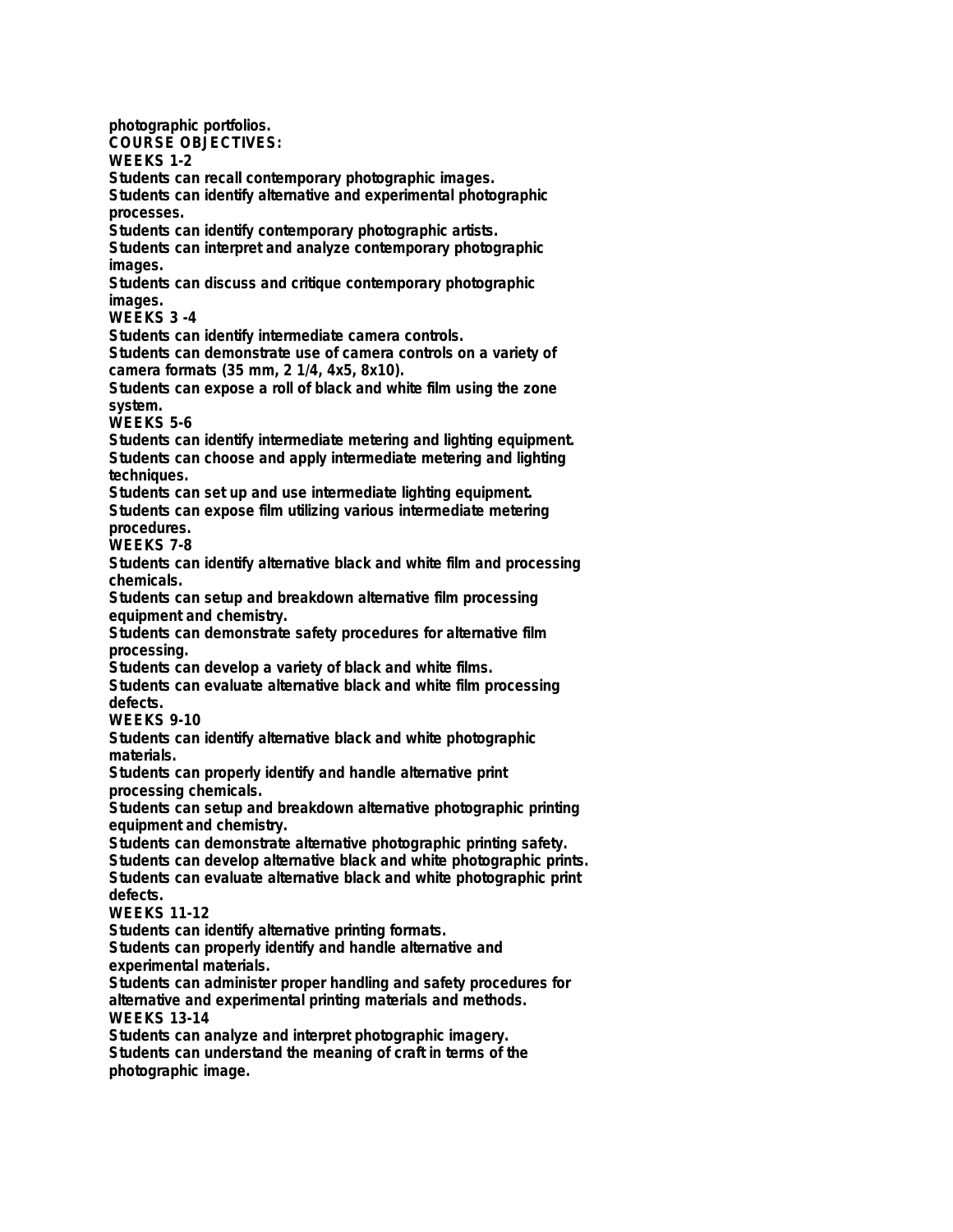**photographic portfolios. COURSE OBJECTIVES: WEEKS 1-2 Students can recall contemporary photographic images. Students can identify alternative and experimental photographic processes. Students can identify contemporary photographic artists. Students can interpret and analyze contemporary photographic images. Students can discuss and critique contemporary photographic images. WEEKS 3 -4 Students can identify intermediate camera controls. Students can demonstrate use of camera controls on a variety of camera formats (35 mm, 2 1/4, 4x5, 8x10). Students can expose a roll of black and white film using the zone system. WEEKS 5-6 Students can identify intermediate metering and lighting equipment. Students can choose and apply intermediate metering and lighting techniques. Students can set up and use intermediate lighting equipment. Students can expose film utilizing various intermediate metering procedures. WEEKS 7-8 Students can identify alternative black and white film and processing chemicals. Students can setup and breakdown alternative film processing equipment and chemistry. Students can demonstrate safety procedures for alternative film processing. Students can develop a variety of black and white films. Students can evaluate alternative black and white film processing defects. WEEKS 9-10 Students can identify alternative black and white photographic materials. Students can properly identify and handle alternative print processing chemicals. Students can setup and breakdown alternative photographic printing equipment and chemistry. Students can demonstrate alternative photographic printing safety. Students can develop alternative black and white photographic prints. Students can evaluate alternative black and white photographic print defects. WEEKS 11-12 Students can identify alternative printing formats. Students can properly identify and handle alternative and experimental materials. Students can administer proper handling and safety procedures for alternative and experimental printing materials and methods. WEEKS 13-14 Students can analyze and interpret photographic imagery. Students can understand the meaning of craft in terms of the photographic image.**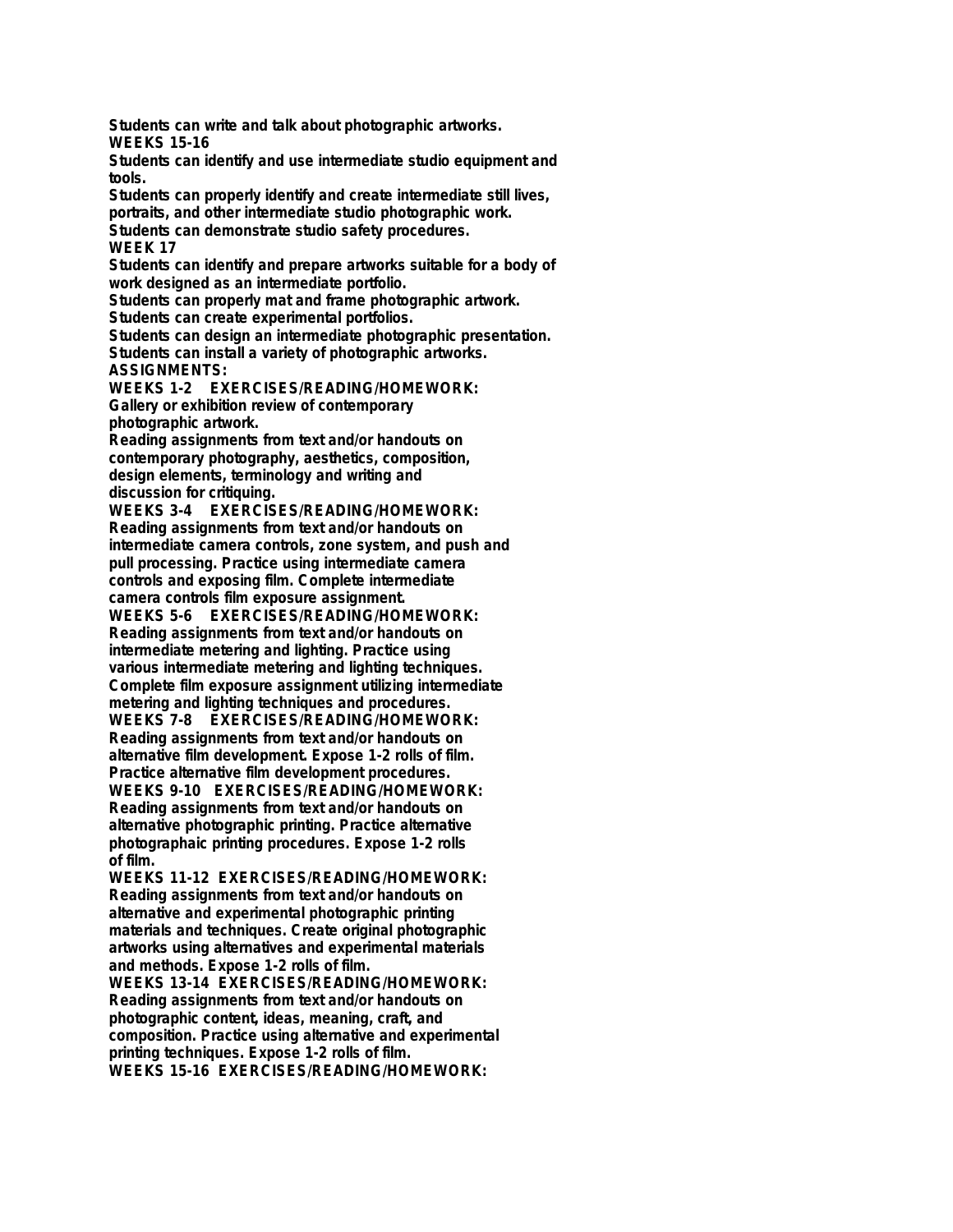**Students can write and talk about photographic artworks. WEEKS 15-16**

**Students can identify and use intermediate studio equipment and tools.**

**Students can properly identify and create intermediate still lives, portraits, and other intermediate studio photographic work. Students can demonstrate studio safety procedures.**

**WEEK 17**

**Students can identify and prepare artworks suitable for a body of work designed as an intermediate portfolio.**

**Students can properly mat and frame photographic artwork.**

**Students can create experimental portfolios.**

**Students can design an intermediate photographic presentation. Students can install a variety of photographic artworks. ASSIGNMENTS:**

**WEEKS 1-2 EXERCISES/READING/HOMEWORK: Gallery or exhibition review of contemporary photographic artwork.**

**Reading assignments from text and/or handouts on contemporary photography, aesthetics, composition, design elements, terminology and writing and discussion for critiquing.**

**WEEKS 3-4 EXERCISES/READING/HOMEWORK: Reading assignments from text and/or handouts on intermediate camera controls, zone system, and push and pull processing. Practice using intermediate camera controls and exposing film. Complete intermediate camera controls film exposure assignment.**

**WEEKS 5-6 EXERCISES/READING/HOMEWORK: Reading assignments from text and/or handouts on intermediate metering and lighting. Practice using various intermediate metering and lighting techniques. Complete film exposure assignment utilizing intermediate metering and lighting techniques and procedures. WEEKS 7-8 EXERCISES/READING/HOMEWORK: Reading assignments from text and/or handouts on alternative film development. Expose 1-2 rolls of film. Practice alternative film development procedures. WEEKS 9-10 EXERCISES/READING/HOMEWORK: Reading assignments from text and/or handouts on**

**alternative photographic printing. Practice alternative photographaic printing procedures. Expose 1-2 rolls of film.**

**WEEKS 11-12 EXERCISES/READING/HOMEWORK: Reading assignments from text and/or handouts on alternative and experimental photographic printing materials and techniques. Create original photographic artworks using alternatives and experimental materials and methods. Expose 1-2 rolls of film.**

**WEEKS 13-14 EXERCISES/READING/HOMEWORK: Reading assignments from text and/or handouts on photographic content, ideas, meaning, craft, and composition. Practice using alternative and experimental printing techniques. Expose 1-2 rolls of film. WEEKS 15-16 EXERCISES/READING/HOMEWORK:**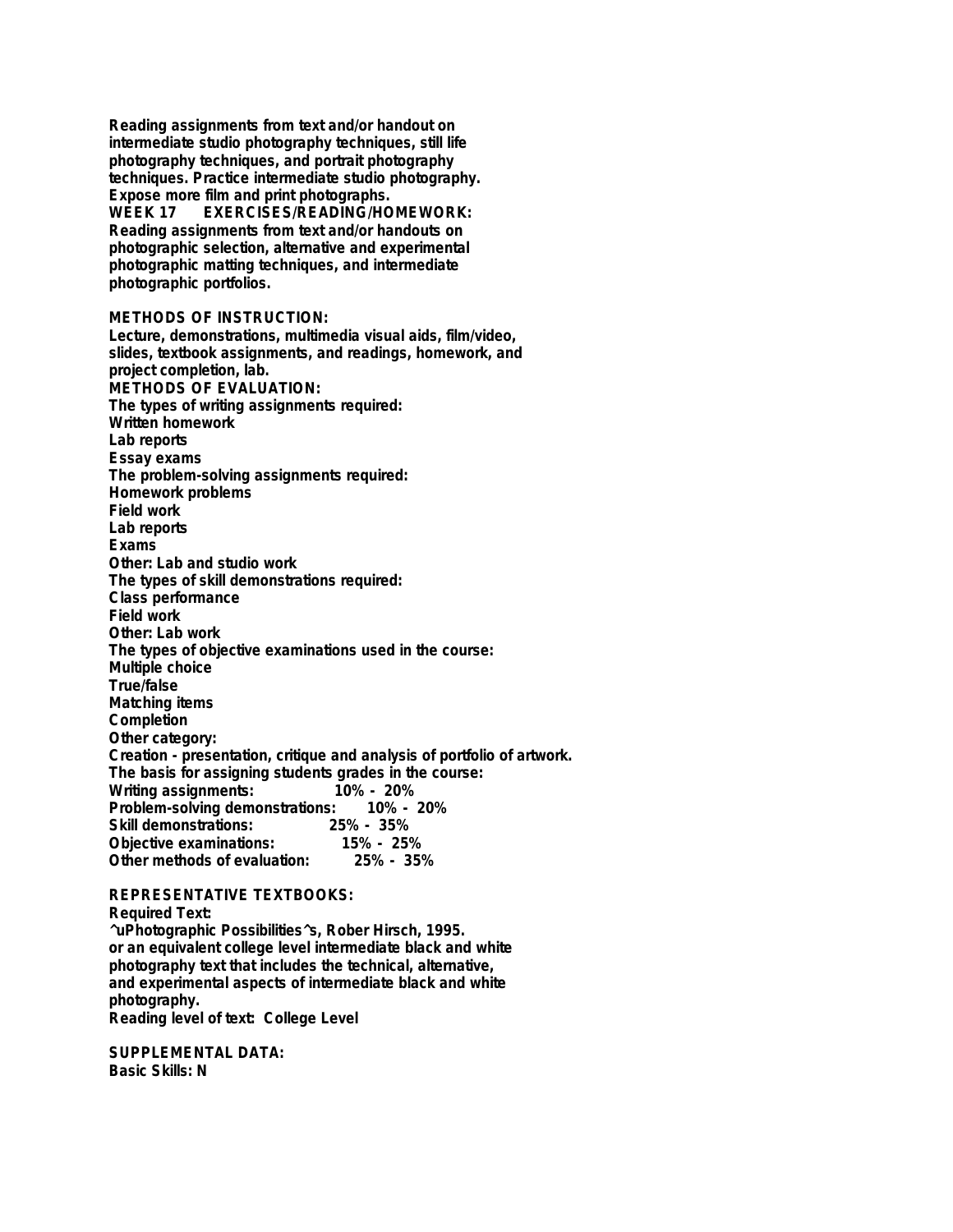**Reading assignments from text and/or handout on intermediate studio photography techniques, still life photography techniques, and portrait photography techniques. Practice intermediate studio photography. Expose more film and print photographs. WEEK 17 EXERCISES/READING/HOMEWORK: Reading assignments from text and/or handouts on photographic selection, alternative and experimental photographic matting techniques, and intermediate photographic portfolios.**

## **METHODS OF INSTRUCTION:**

**Lecture, demonstrations, multimedia visual aids, film/video, slides, textbook assignments, and readings, homework, and project completion, lab. METHODS OF EVALUATION: The types of writing assignments required: Written homework Lab reports Essay exams The problem-solving assignments required: Homework problems Field work Lab reports Exams Other: Lab and studio work The types of skill demonstrations required: Class performance Field work Other: Lab work The types of objective examinations used in the course: Multiple choice True/false Matching items Completion Other category: Creation - presentation, critique and analysis of portfolio of artwork. The basis for assigning students grades in the course: Writing assignments: 10% - 20% Problem-solving demonstrations: Skill demonstrations: 25% - 35% Objective examinations: 15% - 25% Other methods of evaluation:** 

## **REPRESENTATIVE TEXTBOOKS: Required Text: ^uPhotographic Possibilities^s, Rober Hirsch, 1995. or an equivalent college level intermediate black and white photography text that includes the technical, alternative, and experimental aspects of intermediate black and white photography. Reading level of text: College Level**

**SUPPLEMENTAL DATA: Basic Skills: N**